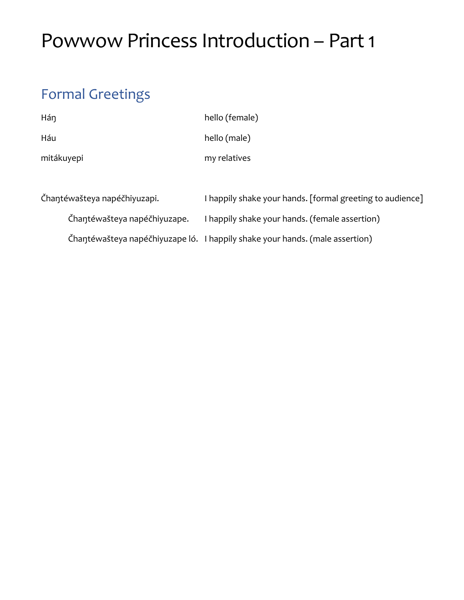# Powwow Princess Introduction – Part 1

# Formal Greetings

| Hán                          | hello (female)                                            |
|------------------------------|-----------------------------------------------------------|
| Háu                          | hello (male)                                              |
| mitákuyepi                   | my relatives                                              |
| Čhantéwašteya napéčhiyuzapi. | I happily shake your hands. [formal greeting to audience] |

Čhaŋtéwašteya napéčhiyuzape. I happily shake your hands. (female assertion)

Čhaŋtéwašteya napéčhiyuzape ló. I happily shake your hands. (male assertion)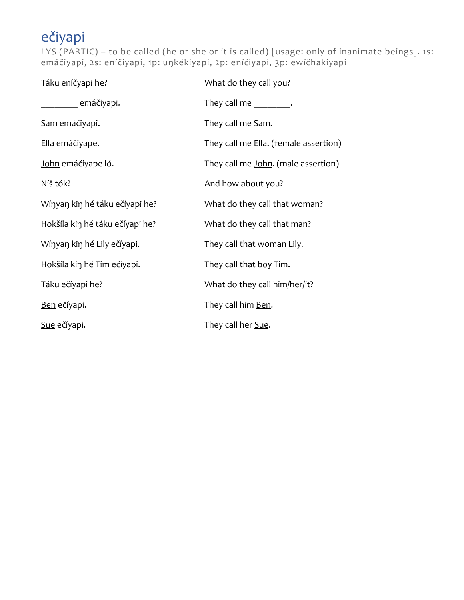# ečiyapi

LYS (PARTIC) – to be called (he or she or it is called) [usage: only of inanimate beings]. 1s: emáčiyapi, 2s: eníčiyapi, 1p: uŋkékiyapi, 2p: eníčiyapi, 3p: ewíčhakiyapi

| Táku eníčyapi he?               | What do they call you?                |
|---------------------------------|---------------------------------------|
| emáčiyapi.                      | They call me They call me             |
| Sam emáčiyapi.                  | They call me Sam.                     |
| Ella emáčiyape.                 | They call me Ella. (female assertion) |
| John emáčiyape ló.              | They call me John. (male assertion)   |
| Níš tók?                        | And how about you?                    |
| Wínyan kin hé táku ečíyapi he?  | What do they call that woman?         |
| Hokšíla kin hé táku ečíyapi he? | What do they call that man?           |
| Wínyan kin hé Lily ečíyapi.     | They call that woman Lily.            |
| Hokšíla kin hé Tim ečíyapi.     | They call that boy Tim.               |
| Táku ečíyapi he?                | What do they call him/her/it?         |
| Ben ečíyapi.                    | They call him Ben.                    |
| Sue ečíyapi.                    | They call her Sue.                    |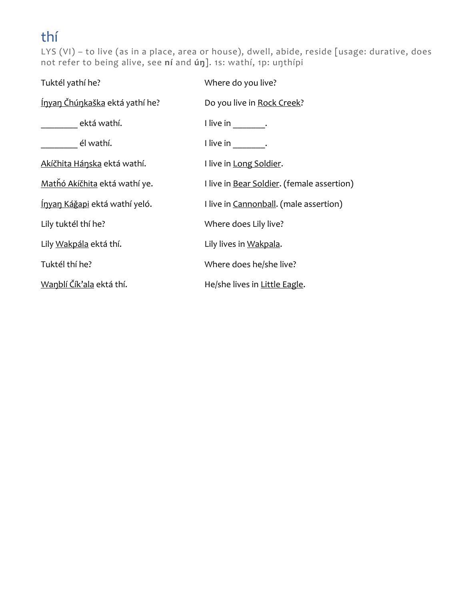### thí

LYS (VI) – to live (as in a place, area or house), dwell, abide, reside [usage: durative, does not refer to being alive, see **ní** and **úŋ**]. 1s: wathí, 1p: uŋthípi

| Tuktél yathí he?                      | Where do you live?                         |
|---------------------------------------|--------------------------------------------|
| <u>Ínyan Čhúnkaška</u> ektá yathí he? | Do you live in Rock Creek?                 |
| ektá wathí.                           | I live in Fig.                             |
| él wathí.                             | I live in Fig.                             |
| Akíčhita Hánska ektá wathí.           | I live in Long Soldier.                    |
| Mathó Akíčhita ektá wathí ye.         | I live in Bear Soldier. (female assertion) |
| <u>Ínyan Káğapi</u> ektá wathí yeló.  | I live in Cannonball. (male assertion)     |
| Lily tuktél thí he?                   | Where does Lily live?                      |
| Lily Wakpála ektá thí.                | Lily lives in Wakpala.                     |
| Tuktél thí he?                        | Where does he/she live?                    |
| Wanblí Čík'ala ektá thí.              | He/she lives in Little Eagle.              |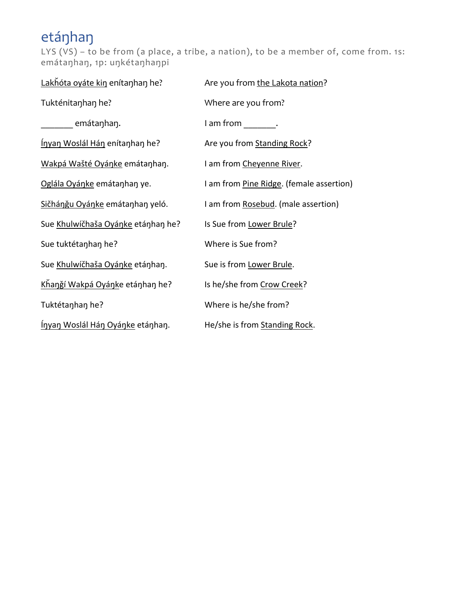# etáŋhaŋ

LYS (VS) – to be from (a place, a tribe, a nation), to be a member of, come from. 1s: emátaŋhaŋ, 1p: uŋkétaŋhaŋpi

| Lakhóta oyáte kin enítanhan he?         | Are you from the Lakota nation?          |
|-----------------------------------------|------------------------------------------|
| Tukténitanhan he?                       | Where are you from?                      |
| ________ emátaŋhaŋ.                     | l am from l.                             |
| <u>Ínyan Woslál Hán</u> enítanhan he?   | Are you from Standing Rock?              |
| Wakpá Wašté Oyánke emátanhan.           | I am from Cheyenne River.                |
| Oglála Oyánke emátanhan ye.             | I am from Pine Ridge. (female assertion) |
| Sičhánğu Oyánke emátanhan yeló.         | I am from Rosebud. (male assertion)      |
| Sue Khulwíčhaša Oyánke etánhan he?      | Is Sue from Lower Brule?                 |
| Sue tuktétanhan he?                     | Where is Sue from?                       |
| Sue Khulwíčhaša Oyánke etánhan.         | Sue is from Lower Brule.                 |
| Khangí Wakpá Oyánke etánhan he?         | Is he/she from Crow Creek?               |
| Tuktétanhan he?                         | Where is he/she from?                    |
| <u>Ínyan Woslál Hán Oyánke</u> etánhan. | He/she is from Standing Rock.            |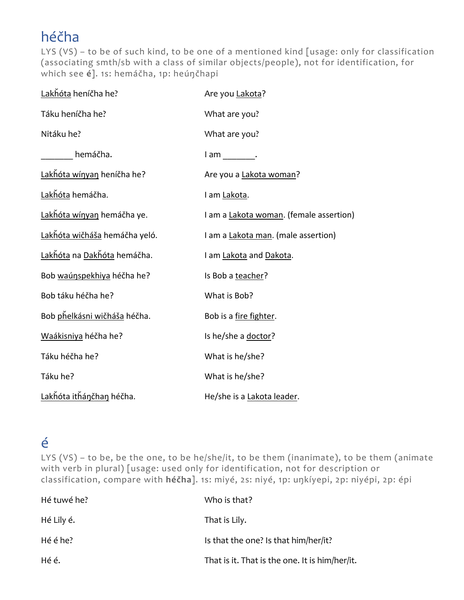# héčha

LYS (VS) - to be of such kind, to be one of a mentioned kind [usage: only for classification (associating smth/sb with a class of similar objects/people), not for identification, for which see **é**]. 1s: hemáčha, 1p: heúŋčhapi

| Lakhóta heníčha he?                       | Are you Lakota?                         |
|-------------------------------------------|-----------------------------------------|
| Táku heníčha he?                          | What are you?                           |
| Nitáku he?                                | What are you?                           |
| hemáčha.                                  | $l$ am $\qquad \qquad \qquad$ .         |
| Lakhóta wínyan heníčha he?                | Are you a Lakota woman?                 |
| Lakhóta hemáčha.                          | I am Lakota.                            |
| Lakhóta wínyan hemáčha ye.                | I am a Lakota woman. (female assertion) |
| Lakňóta wičháša hemáčha yeló.             | I am a Lakota man. (male assertion)     |
| <u>Lakȟóta</u> na <u>Dakȟóta</u> hemáčha. | I am Lakota and Dakota.                 |
| Bob waúnspekhiya héčha he?                | Is Bob a teacher?                       |
| Bob táku héčha he?                        | What is Bob?                            |
| Bob pňelkásni wičháša héčha.              | Bob is a fire fighter.                  |
| Waákisniya héčha he?                      | Is he/she a doctor?                     |
| Táku héčha he?                            | What is he/she?                         |
| Táku he?                                  | What is he/she?                         |
| Lakhóta ithánčhan héčha.                  | He/she is a Lakota leader.              |

### é

LYS (VS) – to be, be the one, to be he/she/it, to be them (inanimate), to be them (animate with verb in plural) [usage: used only for identification, not for description or classification, compare with **héčha**]. 1s: miyé, 2s: niyé, 1p: uŋkíyepi, 2p: niyépi, 2p: épi

| Hé tuwé he? | Who is that?                                   |
|-------------|------------------------------------------------|
| Hé Lily é.  | That is Lily.                                  |
| Hé é he?    | Is that the one? Is that him/her/it?           |
| Hé é.       | That is it. That is the one. It is him/her/it. |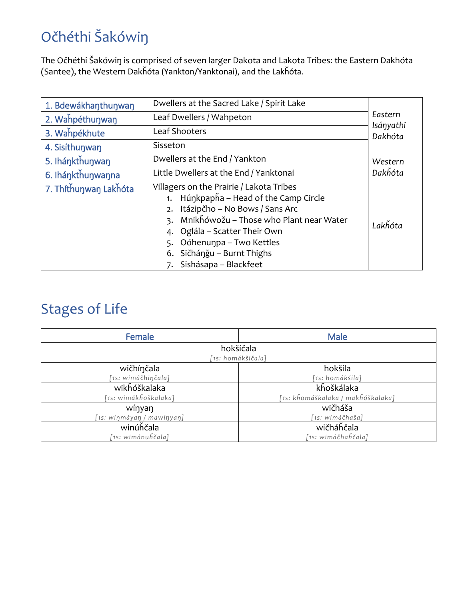# Očhéthi Šakówiŋ

The Očhéthi Šakówiŋ is comprised of seven larger Dakota and Lakota Tribes: the Eastern Dakhóta (Santee), the Western Dakȟóta (Yankton/Yanktonai), and the Lakȟóta.

| 1. Bdewákhanthunwan   | Dwellers at the Sacred Lake / Spirit Lake                                                                                                                                                                                                                                                |                      |
|-----------------------|------------------------------------------------------------------------------------------------------------------------------------------------------------------------------------------------------------------------------------------------------------------------------------------|----------------------|
| 2. Wahpéthunwan       | Leaf Dwellers / Wahpeton                                                                                                                                                                                                                                                                 | Eastern              |
| 3. Wahpékhute         | Leaf Shooters                                                                                                                                                                                                                                                                            | Isányathi<br>Dakhóta |
| 4. Sisíthunwan        | Sisseton                                                                                                                                                                                                                                                                                 |                      |
| 5. Ihánkthunwan       | Dwellers at the End / Yankton                                                                                                                                                                                                                                                            | Western              |
| 6. Ihánkthunwanna     | Little Dwellers at the End / Yanktonai                                                                                                                                                                                                                                                   | Dakhóta              |
| 7. Thíthunwan Lakhóta | Villagers on the Prairie / Lakota Tribes<br>Húŋkpapȟa – Head of the Camp Circle<br>Itázipčho – No Bows / Sans Arc<br>2.<br>Mnikňówožu – Those who Plant near Water<br>4. Oglála – Scatter Their Own<br>Oóhenunpa – Two Kettles<br>6. Sičhángu – Burnt Thighs<br>7. Sishásapa – Blackfeet | Lakȟóta              |

#### Stages of Life

| Female                    | <b>Male</b>                       |  |
|---------------------------|-----------------------------------|--|
| hokšíčala                 |                                   |  |
| [1s: homákšičala]         |                                   |  |
| wičhínčala                | hokšíla                           |  |
| [1s: wimáčhinčala]        | [1s: homákšila]                   |  |
| wikhóškalaka              | kňoškálaka                        |  |
| [1s: wimákȟoškalaka]      | [1s: kȟomáškalaka / makȟóškalaka] |  |
| wínyan                    | wičháša                           |  |
| [1s: wiŋmáyaŋ / mawíŋyaŋ] | [1s: wimáčhaša]                   |  |
| winúhčala                 | wičháňčala                        |  |
| '1s: wimánuȟčala]         | [1s: wimáčhaȟčala]                |  |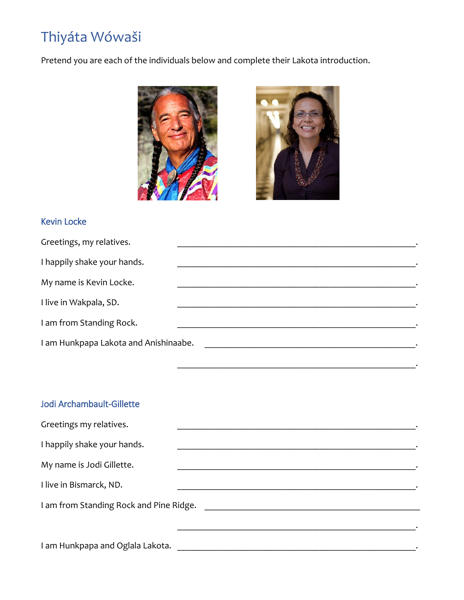# Thiyáta Wówaši

Pretend you are each of the individuals below and complete their Lakota introduction.





\_\_\_\_\_\_\_\_\_\_\_\_\_\_\_\_\_\_\_\_\_\_\_\_\_\_\_\_\_\_\_\_\_\_\_\_\_\_\_\_\_\_\_\_\_\_\_\_\_\_\_\_.

#### Kevin Locke

| Greetings, my relatives.              |  |
|---------------------------------------|--|
| I happily shake your hands.           |  |
| My name is Kevin Locke.               |  |
| I live in Wakpala, SD.                |  |
| I am from Standing Rock.              |  |
| I am Hunkpapa Lakota and Anishinaabe. |  |

#### Jodi Archambault-Gillette

| Greetings my relatives.                 |  |
|-----------------------------------------|--|
| I happily shake your hands.             |  |
| My name is Jodi Gillette.               |  |
| I live in Bismarck, ND.                 |  |
| I am from Standing Rock and Pine Ridge. |  |
|                                         |  |
| I am Hunkpapa and Oglala Lakota.        |  |